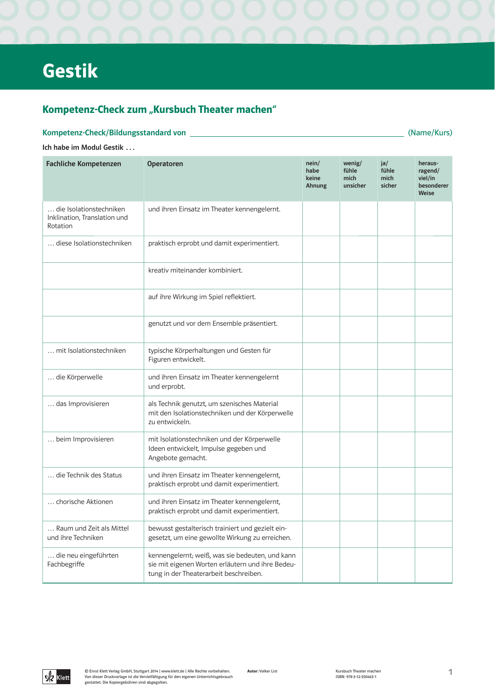# **Gestik**

## Kompetenz-Check zum "Kursbuch Theater machen"

### Kompetenz-Check/Bildungsstandard von

(Name/Kurs)

### Ich habe im Modul Gestik ...

| <b>Fachliche Kompetenzen</b>                                        | <b>Operatoren</b>                                                                                                                             | nein/<br>habe<br>keine<br>Ahnung | wenig/<br>fühle<br>mich<br>unsicher | ja/<br>fühle<br>mich<br>sicher | heraus-<br>ragend/<br>viel/in<br>besonderer<br><b>Weise</b> |
|---------------------------------------------------------------------|-----------------------------------------------------------------------------------------------------------------------------------------------|----------------------------------|-------------------------------------|--------------------------------|-------------------------------------------------------------|
| die Isolationstechniken<br>Inklination, Translation und<br>Rotation | und ihren Einsatz im Theater kennengelernt.                                                                                                   |                                  |                                     |                                |                                                             |
| diese Isolationstechniken                                           | praktisch erprobt und damit experimentiert.                                                                                                   |                                  |                                     |                                |                                                             |
|                                                                     | kreativ miteinander kombiniert.                                                                                                               |                                  |                                     |                                |                                                             |
|                                                                     | auf ihre Wirkung im Spiel reflektiert.                                                                                                        |                                  |                                     |                                |                                                             |
|                                                                     | genutzt und vor dem Ensemble präsentiert.                                                                                                     |                                  |                                     |                                |                                                             |
| mit Isolationstechniken                                             | typische Körperhaltungen und Gesten für<br>Figuren entwickelt.                                                                                |                                  |                                     |                                |                                                             |
| die Körperwelle                                                     | und ihren Einsatz im Theater kennengelernt<br>und erprobt.                                                                                    |                                  |                                     |                                |                                                             |
| das Improvisieren                                                   | als Technik genutzt, um szenisches Material<br>mit den Isolationstechniken und der Körperwelle<br>zu entwickeln.                              |                                  |                                     |                                |                                                             |
| beim Improvisieren                                                  | mit Isolationstechniken und der Körperwelle<br>Ideen entwickelt, Impulse gegeben und<br>Angebote gemacht.                                     |                                  |                                     |                                |                                                             |
| die Technik des Status                                              | und ihren Einsatz im Theater kennengelernt,<br>praktisch erprobt und damit experimentiert.                                                    |                                  |                                     |                                |                                                             |
| chorische Aktionen                                                  | und ihren Einsatz im Theater kennengelernt,<br>praktisch erprobt und damit experimentiert.                                                    |                                  |                                     |                                |                                                             |
| Raum und Zeit als Mittel<br>und ihre Techniken                      | bewusst gestalterisch trainiert und gezielt ein-<br>gesetzt, um eine gewollte Wirkung zu erreichen.                                           |                                  |                                     |                                |                                                             |
| die neu eingeführten<br>Fachbegriffe                                | kennengelernt; weiß, was sie bedeuten, und kann<br>sie mit eigenen Worten erläutern und ihre Bedeu-<br>tung in der Theaterarbeit beschreiben. |                                  |                                     |                                |                                                             |